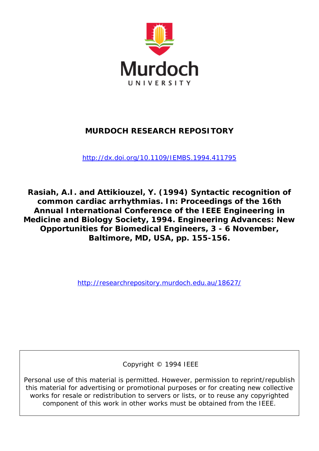

# **MURDOCH RESEARCH REPOSITORY**

<http://dx.doi.org/10.1109/IEMBS.1994.411795>

**Rasiah, A.I. and Attikiouzel, Y. (1994) Syntactic recognition of common cardiac arrhythmias. In: Proceedings of the 16th Annual International Conference of the IEEE Engineering in Medicine and Biology Society, 1994. Engineering Advances: New Opportunities for Biomedical Engineers, 3 - 6 November, Baltimore, MD, USA, pp. 155-156.**

<http://researchrepository.murdoch.edu.au/18627/>

Copyright © 1994 IEEE

Personal use of this material is permitted. However, permission to reprint/republish this material for advertising or promotional purposes or for creating new collective works for resale or redistribution to servers or lists, or to reuse any copyrighted component of this work in other works must be obtained from the IEEE.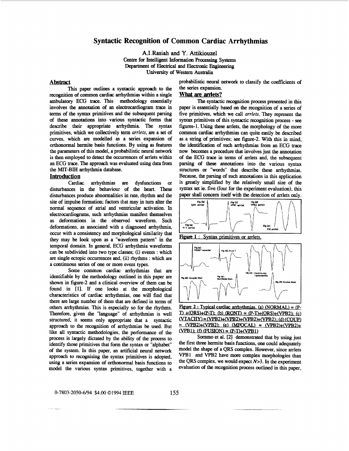## **Syntactic Recognition of Common Cardiac Arrhythmias**

**A.I.Rasiah** and **Y. Attikiouzel**  Centre **for** Intelligent **Information Procesiag** Systems Department of Electrical and Electronic Engineering University *of* Western Australia

#### **Abstract**

**This** paper outlines a syntactic approach to **the**  recognition *of common* cardiac arrhythmias within a single ambulatory ECG trace. **This** methodology essentially involves **the** annotation *of* an electrocardiogram trace in terms of the syntax primitives and **the** subsequent parsing *of* these **annotations** into various syntactic forms that describe their appropriate arrhythmia. The syntax primitives, which we collectively term *arrlets*, are a set of *curves,* which are modelled **as** a series expansion *of*  orthonormal hermite basis functions. By using **as** features the parameters of this model, a probabilistic neural network is then employed to detect the **occwrences** *of* arrlets within an ECG trace. **The** approach was evaluated using data **from**  the MIT-BIH arrhythmia database.

### **Introduction**

Cardiac arrhythmias are dysfunctions or disturbances in the behaviour *of* the heart. These disturbances produce abnormalities in rate, rhythm and the site *of* impulse formation; factors that may in tum alter the normal sequence *of* atrial and ventricular activation. In electrocardiograms, such arrhythmias maaifest themselves **as** deformations in **the** observed waveform. Such deformations, **as** associated with a diagnosed arrhythmia, *occur* with a consistency and morphological similarity that they may be look upon **as** a "waveform pattern" in the temporal domain. In general, ECG arrhythmia waveforms can be subdivided into two type classes; (i) events : which *are* single ectopic occurrences and, (ii) rhythms : which are a continuous series *of* one or more event types,

Some **common** cardiac arrhythmias that are identifable by the methodology outlined in **this** paper *are*  **shown** in figure-2 and a clinical overview of them can be found in [ll. If one looks at the morphological characteristics *of* cardiac arrhythmias, one will find that there are large **number** *of* them that *are* defined in **terms** of others arrhythmias. This is especially **so** for the rhythms. Therefore, given the "language" of arrhythmias is well **structured,** it seems only appropriate that a syntactic approach to the **recognition** *of* arrhythmias be used. But like all syntactic methodologies. the performance of the process is largely dictated by the ability of the process to identify those primitives that form the syntax or "alphabet" *of* the system. In **this** paper, **an** artificial neural network approach to recognising the syntax primitives is adopted, using a *series* expansion *of* **orthonormal** basis functions to model the various syntax primitives, together with a

-. \_\_

## probabilistic neural network to classify **the** coefficients of the series expansion.

## **What are arriets?**

**The** syntactic recognition process presented in **this**  paper is essentially based *on* the **recognition** *of* a series *of*  five primitives, which we call *arrlets.* They represent the syntax primitives *of* **this** syntactic recognition process - *see*  figures-1. Using these arrlets. the morphology *of* the more *common* cardiac arrhythmias can quite easily be described **as** a string *of* primitives; *see* figure-2. With **this** in mind, the identification of such arrhythmias from an ECG trace now becomes a procedure that involves just the annotation *of* the ECG trace in terms *of* arrlets and, the subsequent structures **or** "words" that describe these arrhythmias. Because. **the** parsing *of* such annotations in **this** application is greatly simplified by **the** relatively small size of the syntax set ie. five (four for the experiment evaluation), **this**  paper shall concern itself with **the** detection of arrlets **only.**  parsing *of* these annotations into the various syntax



**Figure 1:** Syntax primitives or arrlets.



**Figure 2: Typical cardiac arrhythmias. (a)**  $(NORMAL) = (P-I)+(ORS)+(P-T)$ **:** (b)  $(ROMT) = (P-T)+(ORS)+(VPB2)$ : (c)  $T$ **)**  $+(ORS) + (P-T);$  (b)  $(RONT) = (P-T) + (ORS) + (VPB2);$  (c)  $(VTACHY) = (VPB2) + (VPB2) + (VPB2) + (VPB2)$ ; (d) *(COUP)* **m2km 2):** (VPB2)+(VPB2)+(VPB2)+(VPB2): (d) (COUP)<br> **m2km 2):** (e) (MFOCAL) = (VPB2)+(VPB2)+<br>
(VPB1): (f) (FUSION) = (P-T)+(VPB1)<br>
Sornmo at al. [2] demonstrated that by using just

Sornmo et al. [2] demonstrated that by using just the first three hermite basis **functions, one** could adequately model the *shape of* a **QRS** complex. However, since arrlets **VPB1 and** VPB2 have more complex morphologies than the **QRS** complex. we would expect *N>3.* In the experiment evaluation *of* **the** "grition process **outlined** in **this** paper,

#### 0-7803-2050-6/94 \$4.00 ©1994 IEEE 155